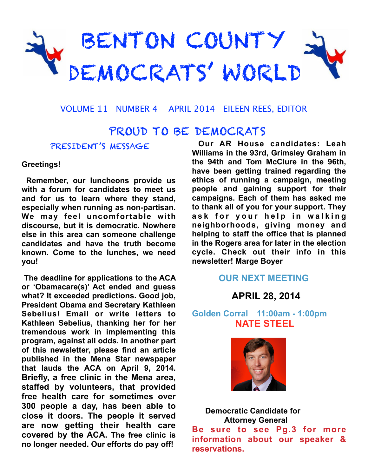

VOLUME 11 NUMBER 4 APRIL 2014 EILEEN REES, EDITOR

# PROUD TO BE DEMOCRATS

## PRESIDENT'S MESSAGE

### **Greetings!**

 **Remember, our luncheons provide us with a forum for candidates to meet us and for us to learn where they stand, especially when running as non-partisan. We may feel uncomfortable with discourse, but it is democratic. Nowhere else in this area can someone challenge candidates and have the truth become known. Come to the lunches, we need you!**

 **The deadline for applications to the ACA or 'Obamacare(s)' Act ended and guess what? It exceeded predictions. Good job, President Obama and Secretary Kathleen Sebelius! Email or write letters to Kathleen Sebelius, thanking her for her tremendous work in implementing this program, against all odds. In another part of this newsletter, please find an article published in the Mena Star newspaper that lauds the ACA on April 9, 2014. Briefly, a free clinic in the Mena area, staffed by volunteers, that provided free health care for sometimes over 300 people a day, has been able to close it doors. The people it served are now getting their health care covered by the ACA. The free clinic is no longer needed. Our efforts do pay off!**

 **Our AR House candidates: Leah Williams in the 93rd, Grimsley Graham in the 94th and Tom McClure in the 96th, have been getting trained regarding the ethics of running a campaign, meeting people and gaining support for their campaigns. Each of them has asked me to thank all of you for your support. They**  ask for your help in walking **neighborhoods, giving money and helping to staff the office that is planned in the Rogers area for later in the election cycle. Check out their info in this newsletter! Marge Boyer**

## **OUR NEXT MEETING**

 **APRIL 28, 2014** 

**Golden Corral 11:00am - 1:00pm NATE STEEL**



 **Democratic Candidate for Attorney General Be sure to see Pg.3 for more information about our speaker & reservations.**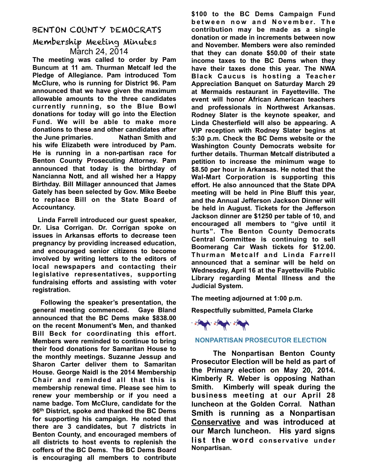### BENTON COUNTY DEMOCRATS

## Membership Meeting Minutes March 24, 2014

**The meeting was called to order by Pam Buncum at 11 am. Thurman Metcalf led the Pledge of Allegiance. Pam introduced Tom McClure, who is running for District 96. Pam announced that we have given the maximum allowable amounts to the three candidates currently running, so the Blue Bowl donations for today will go into the Election Fund. We will be able to make more donations to these and other candidates after the June primaries. Nathan Smith and his wife Elizabeth were introduced by Pam. He is running in a non-partisan race for Benton County Prosecuting Attorney. Pam announced that today is the birthday of Nancianna Nott, and all wished her a Happy Birthday. Bill Millager announced that James Gately has been selected by Gov. Mike Beebe to replace Bill on the State Board of Accountancy.**

 **Linda Farrell introduced our guest speaker, Dr. Lisa Corrigan. Dr. Corrigan spoke on issues in Arkansas efforts to decrease teen pregnancy by providing increased education, and encouraged senior citizens to become involved by writing letters to the editors of local newspapers and contacting their legislative representatives, supporting fundraising efforts and assisting with voter registration.** 

 **Following the speaker's presentation, the general meeting commenced. Gaye Bland announced that the BC Dems make \$838.00 on the recent Monument's Men, and thanked Bill Beck for coordinating this effort. Members were reminded to continue to bring their food donations for Samaritan House to the monthly meetings. Suzanne Jessup and Sharon Carter deliver them to Samaritan House. George Naidl is the 2014 Membership Chair and reminded all that this is membership renewal time. Please see him to renew your membership or if you need a name badge. Tom McClure, candidate for the 96th District, spoke and thanked the BC Dems for supporting his campaign. He noted that there are 3 candidates, but 7 districts in Benton County, and encouraged members of all districts to host events to replenish the coffers of the BC Dems. The BC Dems Board is encouraging all members to contribute** 

**\$100 to the BC Dems Campaign Fund**  between now and November. The **contribution may be made as a single donation or made in increments between now and November. Members were also reminded that they can donate \$50.00 of their state income taxes to the BC Dems when they have their taxes done this year. The NWA Black Caucus is hosting a Teacher Appreciation Banquet on Saturday March 29 at Mermaids restaurant in Fayetteville. The event will honor African American teachers and professionals in Northwest Arkansas. Rodney Slater is the keynote speaker, and Linda Chesterfield will also be appearing. A VIP reception with Rodney Slater begins at 5:30 p.m. Check the BC Dems website or the Washington County Democrats website for further details. Thurman Metcalf distributed a petition to increase the minimum wage to \$8.50 per hour in Arkansas. He noted that the Wal-Mart Corporation is supporting this effort. He also announced that the State DPA meeting will be held in Pine Bluff this year, and the Annual Jefferson Jackson Dinner will be held in August. Tickets for the Jefferson Jackson dinner are \$1250 per table of 10, and encouraged all members to "give until it hurts". The Benton County Democrats Central Committee is continuing to sell Boomerang Car Wash tickets for \$12.00. Thurman Metcalf and Linda Farrell announced that a seminar will be held on Wednesday, April 16 at the Fayetteville Public Library regarding Mental Illness and the Judicial System.** 

**The meeting adjourned at 1:00 p.m.**

**Respectfully submitted, Pamela Clarke** 



#### **NONPARTISAN PROSECUTOR ELECTION**

 **The Nonpartisan Benton County Prosecutor Election will be held as part of the Primary election on May 20, 2014. Kimberly R. Weber is opposing Nathan Smith. Kimberly will speak during the business meeting at our April 28 luncheon at the Golden Corral. Nathan Smith is running as a Nonpartisan Conservative and was introduced at our March luncheon. His yard signs list the word conservative under Nonpartisan.**